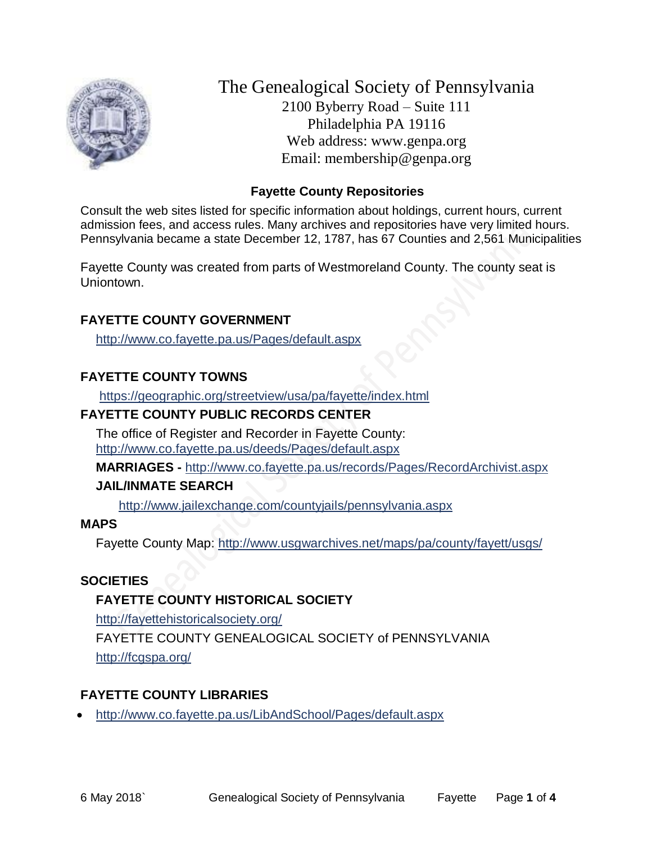

The Genealogical Society of Pennsylvania 2100 Byberry Road – Suite 111 Philadelphia PA 19116 Web address: www.genpa.org Email: membership@genpa.org

### **Fayette County Repositories**

Consult the web sites listed for specific information about holdings, current hours, current admission fees, and access rules. Many archives and repositories have very limited hours. Pennsylvania became a state December 12, 1787, has 67 Counties and 2,561 Municipalities

Fayette County was created from parts of Westmoreland County. The county seat is Uniontown.

### **FAYETTE COUNTY GOVERNMENT**

<http://www.co.fayette.pa.us/Pages/default.aspx>

## **FAYETTE COUNTY TOWNS**

<https://geographic.org/streetview/usa/pa/fayette/index.html>

### **FAYETTE COUNTY PUBLIC RECORDS CENTER**

The office of Register and Recorder in Fayette County: <http://www.co.fayette.pa.us/deeds/Pages/default.aspx>

**MARRIAGES -** <http://www.co.fayette.pa.us/records/Pages/RecordArchivist.aspx>

### **JAIL/INMATE SEARCH**

<http://www.jailexchange.com/countyjails/pennsylvania.aspx>

### **MAPS**

Fayette County Map:<http://www.usgwarchives.net/maps/pa/county/fayett/usgs/>

### **SOCIETIES**

## **FAYETTE COUNTY HISTORICAL SOCIETY**

<http://fayettehistoricalsociety.org/>

FAYETTE COUNTY GENEALOGICAL SOCIETY of PENNSYLVANIA <http://fcgspa.org/>

## **FAYETTE COUNTY LIBRARIES**

<http://www.co.fayette.pa.us/LibAndSchool/Pages/default.aspx>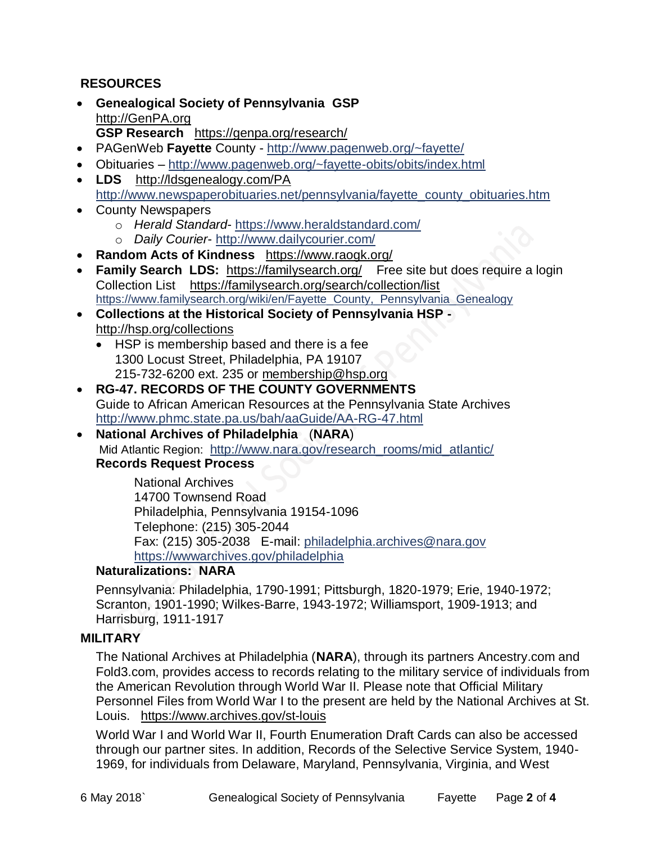## **RESOURCES**

- **Genealogical Society of Pennsylvania GSP** [http://GenPA.org](http://genpa.org/) **GSP Research** <https://genpa.org/research/>
- PAGenWeb **Fayette** County <http://www.pagenweb.org/~fayette/>
- Obituaries <http://www.pagenweb.org/~fayette-obits/obits/index.html>
- **LDS** <http://ldsgenealogy.com/PA> [http://www.newspaperobituaries.net/pennsylvania/fayette\\_county\\_obituaries.htm](http://www.newspaperobituaries.net/pennsylvania/fayette_county_obituaries.htm)
- County Newspapers
	- o *Herald Standard* <https://www.heraldstandard.com/>
	- o *Daily Courier* <http://www.dailycourier.com/>
- **Random Acts of Kindness** <https://www.raogk.org/>
- **Family Search LDS:** <https://familysearch.org/>Free site but does require a login Collection List <https://familysearch.org/search/collection/list> [https://www.familysearch.org/wiki/en/Fayette\\_County,\\_Pennsylvania\\_Genealogy](https://www.familysearch.org/wiki/en/Fayette_County,_Pennsylvania_Genealogy)
- **Collections at the Historical Society of Pennsylvania HSP**  <http://hsp.org/collections>
	- HSP is membership based and there is a fee 1300 Locust Street, Philadelphia, PA 19107 215-732-6200 ext. 235 or [membership@hsp.org](mailto:membership@hsp.org)
- **RG-47. RECORDS OF THE COUNTY GOVERNMENTS** Guide to African American Resources at the Pennsylvania State Archives <http://www.phmc.state.pa.us/bah/aaGuide/AA-RG-47.html>
- **National Archives of Philadelphia** (**NARA**) Mid Atlantic Region: [http://www.nara.gov/research\\_rooms/mid\\_atlantic/](http://www.nara.gov/research_rooms/mid_atlantic/) **Records Request Process**

National Archives 14700 Townsend Road Philadelphia, Pennsylvania 19154-1096 Telephone: (215) 305-2044 Fax: (215) 305-2038 E-mail: [philadelphia.archives@nara.gov](mailto:philadelphia.archives@nara.gov) <https://wwwarchives.gov/philadelphia>

### **Naturalizations: NARA**

Pennsylvania: Philadelphia, 1790-1991; Pittsburgh, 1820-1979; Erie, 1940-1972; Scranton, 1901-1990; Wilkes-Barre, 1943-1972; Williamsport, 1909-1913; and Harrisburg, 1911-1917

#### **MILITARY**

The National Archives at Philadelphia (**NARA**), through its partners Ancestry.com and Fold3.com, provides access to records relating to the military service of individuals from the American Revolution through World War II. Please note that Official Military Personnel Files from World War I to the present are held by the National Archives at St. Louis. <https://www.archives.gov/st-louis>

World War I and World War II, Fourth Enumeration Draft Cards can also be accessed through our partner sites. In addition, Records of the Selective Service System, 1940- 1969, for individuals from Delaware, Maryland, Pennsylvania, Virginia, and West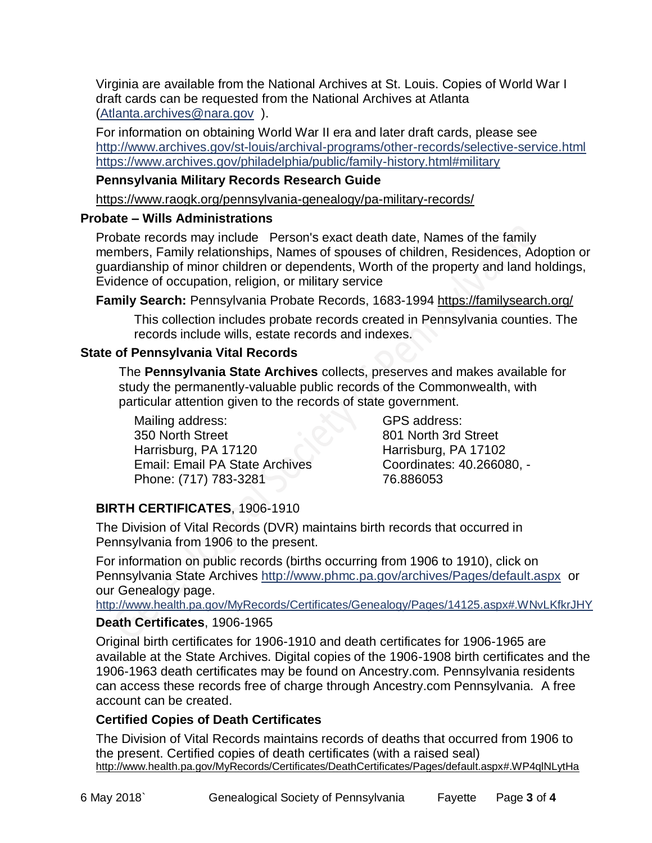Virginia are available from the National Archives at St. Louis. Copies of World War I draft cards can be requested from the National Archives at Atlanta [\(Atlanta.archives@nara.gov](mailto:Atlanta.archives@nara.gov) ).

For information on obtaining World War II era and later draft cards, please see <http://www.archives.gov/st-louis/archival-programs/other-records/selective-service.html> <https://www.archives.gov/philadelphia/public/family-history.html#military>

# **Pennsylvania Military Records Research Guide**

<https://www.raogk.org/pennsylvania-genealogy/pa-military-records/>

### **Probate – Wills Administrations**

Probate records may include Person's exact death date, Names of the family members, Family relationships, Names of spouses of children, Residences, Adoption or guardianship of minor children or dependents, Worth of the property and land holdings, Evidence of occupation, religion, or military service

**Family Search:** Pennsylvania Probate Records, 1683-1994 <https://familysearch.org/>

This collection includes probate records created in Pennsylvania counties. The records include wills, estate records and indexes.

### **State of Pennsylvania Vital Records**

The **Pennsylvania State Archives** collects, preserves and makes available for study the permanently-valuable public records of the Commonwealth, with particular attention given to the records of state government.

Mailing address: 350 North Street Harrisburg, PA 17120 Email: Email PA State Archives Phone: (717) 783-3281

GPS address: 801 North 3rd Street Harrisburg, PA 17102 Coordinates: 40.266080, - 76.886053

# **BIRTH CERTIFICATES**, 1906-1910

The Division of Vital Records (DVR) maintains birth records that occurred in Pennsylvania from 1906 to the present.

For information on public records (births occurring from 1906 to 1910), click on Pennsylvania State Archives <http://www.phmc.pa.gov/archives/Pages/default.aspx>or our Genealogy page.

<http://www.health.pa.gov/MyRecords/Certificates/Genealogy/Pages/14125.aspx#.WNvLKfkrJHY>

## **Death Certificates**, 1906-1965

Original birth certificates for 1906-1910 and death certificates for 1906-1965 are available at the State Archives. Digital copies of the 1906-1908 birth certificates and the 1906-1963 death certificates may be found on Ancestry.com. Pennsylvania residents can access these records free of charge through Ancestry.com Pennsylvania. A free account can be created.

## **Certified Copies of Death Certificates**

The Division of Vital Records maintains records of deaths that occurred from 1906 to the present. Certified copies of death certificates (with a raised seal) http://www.health.pa.gov/MyRecords/Certificates/DeathCertificates/Pages/default.aspx#.WP4qlNLytHa